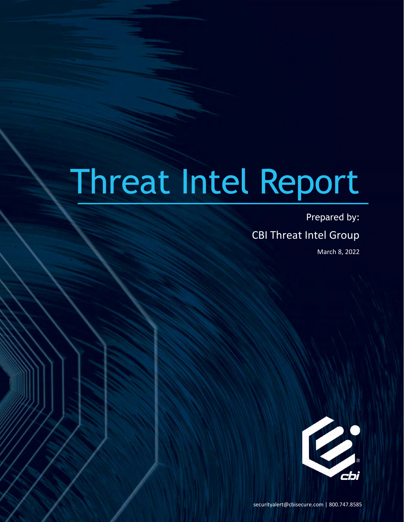# Threat Intel Report

Prepared by: CBI Threat Intel Group March 8, 2022



securityalert@cbisecure.com | 800.747.8585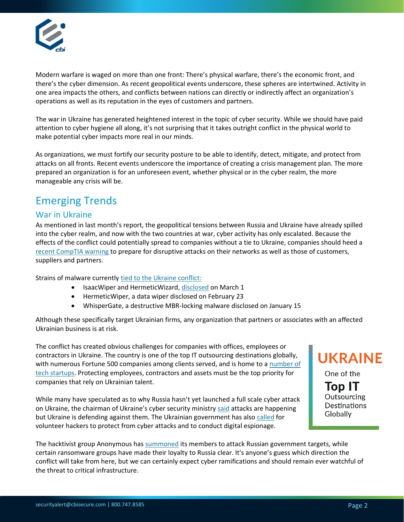

Modern warfare is waged on more than one front: There's physical warfare, there's the economic front, and there's the cyber dimension. As recent geopolitical events underscore, these spheres are intertwined. Activity in one area impacts the others, and conflicts between nations can directly or indirectly affect an organization's operations as well as its reputation in the eyes of customers and partners.

The war in Ukraine has generated heightened interest in the topic of cyber security. While we should have paid attention to cyber hygiene all along, it's not surprising that it takes outright conflict in the physical world to make potential cyber impacts more real in our minds.

As organizations, we must fortify our security posture to be able to identify, detect, mitigate, and protect from attacks on all fronts. Recent events underscore the importance of creating a crisis management plan. The more prepared an organization is for an unforeseen event, whether physical or in the cyber realm, the more manageable any crisis will be.

## Emerging Trends

## War in Ukraine

As mentioned in last month's report, the geopolitical tensions between Russia and Ukraine have already spilled into the cyber realm, and now with the two countries at war, cyber activity has only escalated. Because the effects of the conflict could potentially spread to companies without a tie to Ukraine, companies should heed a [recent CompTIA](https://forum.comptiaisao.org/threads/concerns-attacks-related-to-geopolitical-tensions-between-russia-and-ukraine.2070/) warning to prepare for disruptive attacks on their networks as well as those of customers, suppliers and partners.

Strains of malware currently [tied to the Ukraine conflict:](https://www.cisa.gov/uscert/ncas/alerts/aa22-057a)

- IsaacWiper and HermeticWizard, [disclosed](https://www.welivesecurity.com/2022/03/01/isaacwiper-hermeticwizard-wiper-worm-targeting-ukraine/) on March 1
- HermeticWiper, a data wiper disclosed on February 23
- WhisperGate, a destructive MBR-locking malware disclosed on January 15

Although these specifically target Ukrainian firms, any organization that partners or associates with an affected Ukrainian business is at risk.

The conflict has created obvious challenges for companies with offices, employees or contractors in Ukraine. The country is one of the top IT outsourcing destinations globally, with numerous Fortune 500 companies among clients served, and is home to a [number of](https://www.fastcompany.com/90725211/ukraine-tech-companies)  [tech startups.](https://www.fastcompany.com/90725211/ukraine-tech-companies) Protecting employees, contractors and assets must be the top priority for companies that rely on Ukrainian talent.

While many have speculated as to why Russia hasn't yet launched a full scale cyber attack on Ukraine, the chairman of Ukraine's cyber security ministry [said](https://www.bbc.com/news/technology-60622977) attacks are happening but Ukraine is defending against them. The Ukrainian government has also [called](https://www.reuters.com/world/exclusive-ukraine-calls-hacker-underground-defend-against-russia-2022-02-24/) for volunteer hackers to protect from cyber attacks and to conduct digital espionage.

**UKRAINE** One of the **Top IT** Outsourcing **Destinations** Globally

The hacktivist group Anonymous has [summoned](https://www.zdnet.com/article/anonymous-hacktivists-ransomware-groups-get-involved-in-ukraine-russia-conflict/) its members to attack Russian government targets, while certain ransomware groups have made their loyalty to Russia clear. It's anyone's guess which direction the conflict will take from here, but we can certainly expect cyber ramifications and should remain ever watchful of the threat to critical infrastructure.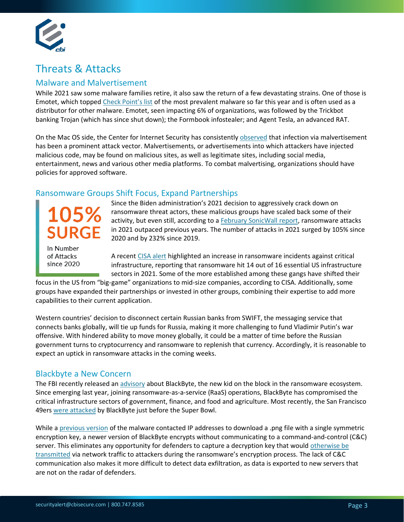

# Threats & Attacks

### Malware and Malvertisement

While 2021 saw some malware families retire, it also saw the return of a few devastating strains. One of those is Emotet, which topped [Check Point's list](https://blog.checkpoint.com/2022/02/08/january-2022s-most-wanted-malware-lokibot-returns-to-the-index-and-emotet-regains-top-spot/) of the most prevalent malware so far this year and is often used as a distributor for other malware. Emotet, seen impacting 6% of organizations, was followed by the Trickbot banking Trojan (which has since shut down); the Formbook infostealer; and Agent Tesla, an advanced RAT.

On the Mac OS side, the Center for Internet Security has consistently [observed](https://www.cisecurity.org/insights/blog/top-10-malware-december-2021) that infection via malvertisement has been a prominent attack vector. Malvertisements, or advertisements into which attackers have injected malicious code, may be found on malicious sites, as well as legitimate sites, including social media, entertainment, news and various other media platforms. To combat malvertising, organizations should have policies for approved software.

### Ransomware Groups Shift Focus, Expand Partnerships

In Number

of Attacks since 2020

Since the Biden administration's 2021 decision to aggressively crack down on ransomware threat actors, these malicious groups have scaled back some of their activity, but even still, according to a February [SonicWall report,](https://mytechdecisions.com/network-security/ransomware-attacks-increase-105-in-2021-sonicwall-report-finds/) ransomware attacks in 2021 outpaced previous years. The number of attacks in 2021 surged by 105% since 2020 and by 232% since 2019.

A recent [CISA alert](https://www.cisa.gov/uscert/ncas/alerts/aa22-040a) highlighted an increase in ransomware incidents against critical infrastructure, reporting that ransomware hit 14 out of 16 essential US infrastructure sectors in 2021. Some of the more established among these gangs have shifted their

focus in the US from "big-game" organizations to mid-size companies, according to CISA. Additionally, some groups have expanded their partnerships or invested in other groups, combining their expertise to add more capabilities to their current application.

Western countries' decision to disconnect certain Russian banks from SWIFT, the messaging service that connects banks globally, will tie up funds for Russia, making it more challenging to fund Vladimir Putin's war offensive. With hindered ability to move money globally, it could be a matter of time before the Russian government turns to cryptocurrency and ransomware to replenish that currency. Accordingly, it is reasonable to expect an uptick in ransomware attacks in the coming weeks.

### Blackbyte a New Concern

The FBI recently released an [advisory](https://www.ic3.gov/Media/News/2022/220211.pdf) about BlackByte, the new kid on the block in the ransomware ecosystem. Since emerging last year, joining ransomware-as-a-service (RaaS) operations, BlackByte has compromised the critical infrastructure sectors of government, finance, and food and agriculture. Most recently, the San Francisco 49ers [were attacked](https://www.zdnet.com/article/blackbyte-ransomware-attacks-san-francisco-49ers-ahead-of-super-bowl/) by BlackByte just before the Super Bowl.

While a [previous version](https://www.trustwave.com/en-us/resources/blogs/spiderlabs-blog/blackbyte-ransomware-pt-1-in-depth-analysis/) of the malware contacted IP addresses to download a .png file with a single symmetric encryption key, a newer version of BlackByte encrypts without communicating to a command-and-control (C&C) server. This eliminates any opportunity for defenders to capture a decryption key that would otherwise be [transmitted](https://sensorstechforum.com/use-wireshark-decrypt-ransomware-files/) via network traffic to attackers during the ransomware's encryption process. The lack of C&C communication also makes it more difficult to detect data exfiltration, as data is exported to new servers that are not on the radar of defenders.